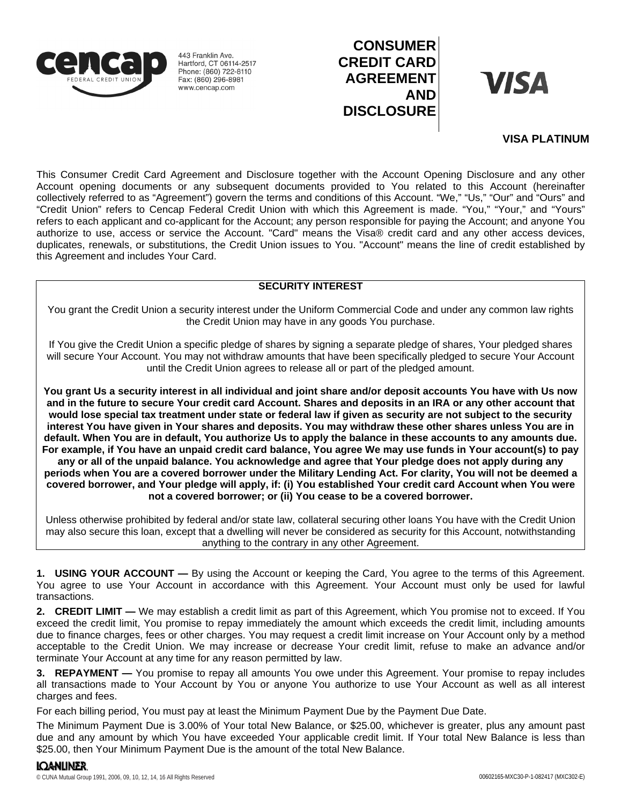

443 Franklin Ave. Hartford, CT 06114-2517 Phone: (860) 722-8110 Fax: (860) 296-8981 www.cencap.com

# **CONSUMER CREDIT CARD AGREEMENT AND DISCLOSURE**

**VISA** 

## **VISA PLATINUM**

This Consumer Credit Card Agreement and Disclosure together with the Account Opening Disclosure and any other Account opening documents or any subsequent documents provided to You related to this Account (hereinafter collectively referred to as "Agreement") govern the terms and conditions of this Account. "We," "Us," "Our" and "Ours" and "Credit Union" refers to Cencap Federal Credit Union with which this Agreement is made. "You," "Your," and "Yours" refers to each applicant and co-applicant for the Account; any person responsible for paying the Account; and anyone You authorize to use, access or service the Account. "Card" means the Visa® credit card and any other access devices, duplicates, renewals, or substitutions, the Credit Union issues to You. "Account" means the line of credit established by this Agreement and includes Your Card.

## **SECURITY INTEREST**

You grant the Credit Union a security interest under the Uniform Commercial Code and under any common law rights the Credit Union may have in any goods You purchase.

If You give the Credit Union a specific pledge of shares by signing a separate pledge of shares, Your pledged shares will secure Your Account. You may not withdraw amounts that have been specifically pledged to secure Your Account until the Credit Union agrees to release all or part of the pledged amount.

**You grant Us a security interest in all individual and joint share and/or deposit accounts You have with Us now and in the future to secure Your credit card Account. Shares and deposits in an IRA or any other account that would lose special tax treatment under state or federal law if given as security are not subject to the security interest You have given in Your shares and deposits. You may withdraw these other shares unless You are in default. When You are in default, You authorize Us to apply the balance in these accounts to any amounts due. For example, if You have an unpaid credit card balance, You agree We may use funds in Your account(s) to pay any or all of the unpaid balance. You acknowledge and agree that Your pledge does not apply during any periods when You are a covered borrower under the Military Lending Act. For clarity, You will not be deemed a covered borrower, and Your pledge will apply, if: (i) You established Your credit card Account when You were not a covered borrower; or (ii) You cease to be a covered borrower.**

Unless otherwise prohibited by federal and/or state law, collateral securing other loans You have with the Credit Union may also secure this loan, except that a dwelling will never be considered as security for this Account, notwithstanding anything to the contrary in any other Agreement.

**1. USING YOUR ACCOUNT —** By using the Account or keeping the Card, You agree to the terms of this Agreement. You agree to use Your Account in accordance with this Agreement. Your Account must only be used for lawful transactions.

**2. CREDIT LIMIT —** We may establish a credit limit as part of this Agreement, which You promise not to exceed. If You exceed the credit limit, You promise to repay immediately the amount which exceeds the credit limit, including amounts due to finance charges, fees or other charges. You may request a credit limit increase on Your Account only by a method acceptable to the Credit Union. We may increase or decrease Your credit limit, refuse to make an advance and/or terminate Your Account at any time for any reason permitted by law.

**3. REPAYMENT —** You promise to repay all amounts You owe under this Agreement. Your promise to repay includes all transactions made to Your Account by You or anyone You authorize to use Your Account as well as all interest charges and fees.

For each billing period, You must pay at least the Minimum Payment Due by the Payment Due Date.

The Minimum Payment Due is 3.00% of Your total New Balance, or \$25.00, whichever is greater, plus any amount past due and any amount by which You have exceeded Your applicable credit limit. If Your total New Balance is less than \$25.00, then Your Minimum Payment Due is the amount of the total New Balance.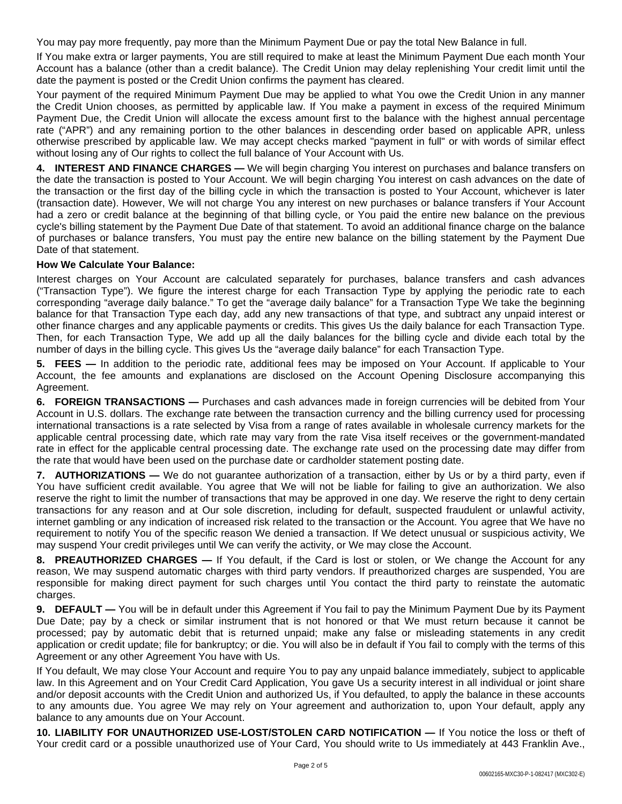You may pay more frequently, pay more than the Minimum Payment Due or pay the total New Balance in full.

If You make extra or larger payments, You are still required to make at least the Minimum Payment Due each month Your Account has a balance (other than a credit balance). The Credit Union may delay replenishing Your credit limit until the date the payment is posted or the Credit Union confirms the payment has cleared.

Your payment of the required Minimum Payment Due may be applied to what You owe the Credit Union in any manner the Credit Union chooses, as permitted by applicable law. If You make a payment in excess of the required Minimum Payment Due, the Credit Union will allocate the excess amount first to the balance with the highest annual percentage rate ("APR") and any remaining portion to the other balances in descending order based on applicable APR, unless otherwise prescribed by applicable law. We may accept checks marked "payment in full" or with words of similar effect without losing any of Our rights to collect the full balance of Your Account with Us.

**4. INTEREST AND FINANCE CHARGES —** We will begin charging You interest on purchases and balance transfers on the date the transaction is posted to Your Account. We will begin charging You interest on cash advances on the date of the transaction or the first day of the billing cycle in which the transaction is posted to Your Account, whichever is later (transaction date). However, We will not charge You any interest on new purchases or balance transfers if Your Account had a zero or credit balance at the beginning of that billing cycle, or You paid the entire new balance on the previous cycle's billing statement by the Payment Due Date of that statement. To avoid an additional finance charge on the balance of purchases or balance transfers, You must pay the entire new balance on the billing statement by the Payment Due Date of that statement.

## **How We Calculate Your Balance:**

Interest charges on Your Account are calculated separately for purchases, balance transfers and cash advances ("Transaction Type"). We figure the interest charge for each Transaction Type by applying the periodic rate to each corresponding "average daily balance." To get the "average daily balance" for a Transaction Type We take the beginning balance for that Transaction Type each day, add any new transactions of that type, and subtract any unpaid interest or other finance charges and any applicable payments or credits. This gives Us the daily balance for each Transaction Type. Then, for each Transaction Type, We add up all the daily balances for the billing cycle and divide each total by the number of days in the billing cycle. This gives Us the "average daily balance" for each Transaction Type.

**5. FEES —** In addition to the periodic rate, additional fees may be imposed on Your Account. If applicable to Your Account, the fee amounts and explanations are disclosed on the Account Opening Disclosure accompanying this Agreement.

**6. FOREIGN TRANSACTIONS —** Purchases and cash advances made in foreign currencies will be debited from Your Account in U.S. dollars. The exchange rate between the transaction currency and the billing currency used for processing international transactions is a rate selected by Visa from a range of rates available in wholesale currency markets for the applicable central processing date, which rate may vary from the rate Visa itself receives or the government-mandated rate in effect for the applicable central processing date. The exchange rate used on the processing date may differ from the rate that would have been used on the purchase date or cardholder statement posting date.

**7. AUTHORIZATIONS —** We do not guarantee authorization of a transaction, either by Us or by a third party, even if You have sufficient credit available. You agree that We will not be liable for failing to give an authorization. We also reserve the right to limit the number of transactions that may be approved in one day. We reserve the right to deny certain transactions for any reason and at Our sole discretion, including for default, suspected fraudulent or unlawful activity, internet gambling or any indication of increased risk related to the transaction or the Account. You agree that We have no requirement to notify You of the specific reason We denied a transaction. If We detect unusual or suspicious activity, We may suspend Your credit privileges until We can verify the activity, or We may close the Account.

**8. PREAUTHORIZED CHARGES —** If You default, if the Card is lost or stolen, or We change the Account for any reason, We may suspend automatic charges with third party vendors. If preauthorized charges are suspended, You are responsible for making direct payment for such charges until You contact the third party to reinstate the automatic charges.

**9. DEFAULT —** You will be in default under this Agreement if You fail to pay the Minimum Payment Due by its Payment Due Date; pay by a check or similar instrument that is not honored or that We must return because it cannot be processed; pay by automatic debit that is returned unpaid; make any false or misleading statements in any credit application or credit update; file for bankruptcy; or die. You will also be in default if You fail to comply with the terms of this Agreement or any other Agreement You have with Us.

If You default, We may close Your Account and require You to pay any unpaid balance immediately, subject to applicable law. In this Agreement and on Your Credit Card Application, You gave Us a security interest in all individual or joint share and/or deposit accounts with the Credit Union and authorized Us, if You defaulted, to apply the balance in these accounts to any amounts due. You agree We may rely on Your agreement and authorization to, upon Your default, apply any balance to any amounts due on Your Account.

**10. LIABILITY FOR UNAUTHORIZED USE-LOST/STOLEN CARD NOTIFICATION —** If You notice the loss or theft of Your credit card or a possible unauthorized use of Your Card, You should write to Us immediately at 443 Franklin Ave.,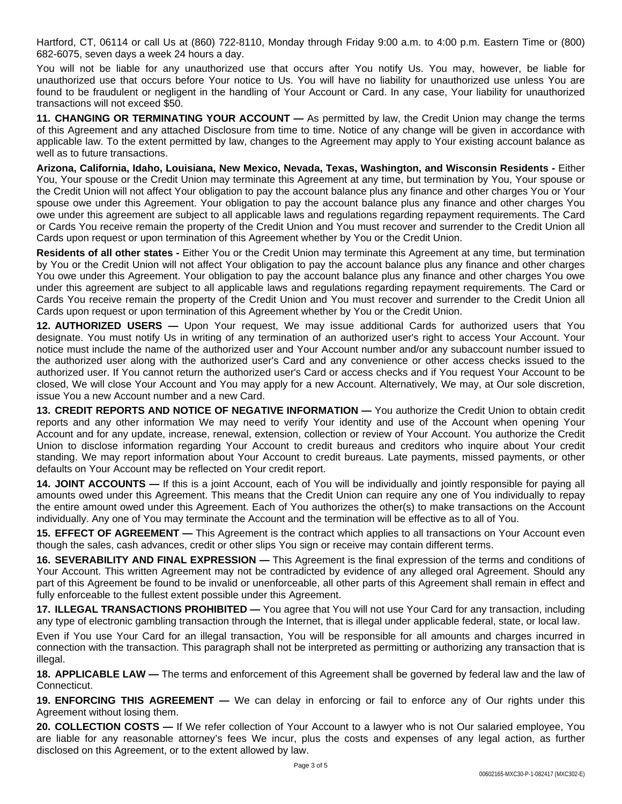Hartford, CT, 06114 or call Us at (860) 722-8110, Monday through Friday 9:00 a.m. to 4:00 p.m. Eastern Time or (800) 682-6075, seven days a week 24 hours a day.

You will not be liable for any unauthorized use that occurs after You notify Us. You may, however, be liable for unauthorized use that occurs before Your notice to Us. You will have no liability for unauthorized use unless You are found to be fraudulent or negligent in the handling of Your Account or Card. In any case, Your liability for unauthorized transactions will not exceed \$50.

**11. CHANGING OR TERMINATING YOUR ACCOUNT —** As permitted by law, the Credit Union may change the terms of this Agreement and any attached Disclosure from time to time. Notice of any change will be given in accordance with applicable law. To the extent permitted by law, changes to the Agreement may apply to Your existing account balance as well as to future transactions.

**Arizona, California, Idaho, Louisiana, New Mexico, Nevada, Texas, Washington, and Wisconsin Residents -** Either You, Your spouse or the Credit Union may terminate this Agreement at any time, but termination by You, Your spouse or the Credit Union will not affect Your obligation to pay the account balance plus any finance and other charges You or Your spouse owe under this Agreement. Your obligation to pay the account balance plus any finance and other charges You owe under this agreement are subject to all applicable laws and regulations regarding repayment requirements. The Card or Cards You receive remain the property of the Credit Union and You must recover and surrender to the Credit Union all Cards upon request or upon termination of this Agreement whether by You or the Credit Union.

**Residents of all other states -** Either You or the Credit Union may terminate this Agreement at any time, but termination by You or the Credit Union will not affect Your obligation to pay the account balance plus any finance and other charges You owe under this Agreement. Your obligation to pay the account balance plus any finance and other charges You owe under this agreement are subject to all applicable laws and regulations regarding repayment requirements. The Card or Cards You receive remain the property of the Credit Union and You must recover and surrender to the Credit Union all Cards upon request or upon termination of this Agreement whether by You or the Credit Union.

**12. AUTHORIZED USERS —** Upon Your request, We may issue additional Cards for authorized users that You designate. You must notify Us in writing of any termination of an authorized user's right to access Your Account. Your notice must include the name of the authorized user and Your Account number and/or any subaccount number issued to the authorized user along with the authorized user's Card and any convenience or other access checks issued to the authorized user. If You cannot return the authorized user's Card or access checks and if You request Your Account to be closed, We will close Your Account and You may apply for a new Account. Alternatively, We may, at Our sole discretion, issue You a new Account number and a new Card.

**13. CREDIT REPORTS AND NOTICE OF NEGATIVE INFORMATION —** You authorize the Credit Union to obtain credit reports and any other information We may need to verify Your identity and use of the Account when opening Your Account and for any update, increase, renewal, extension, collection or review of Your Account. You authorize the Credit Union to disclose information regarding Your Account to credit bureaus and creditors who inquire about Your credit standing. We may report information about Your Account to credit bureaus. Late payments, missed payments, or other defaults on Your Account may be reflected on Your credit report.

**14. JOINT ACCOUNTS —** If this is a joint Account, each of You will be individually and jointly responsible for paying all amounts owed under this Agreement. This means that the Credit Union can require any one of You individually to repay the entire amount owed under this Agreement. Each of You authorizes the other(s) to make transactions on the Account individually. Any one of You may terminate the Account and the termination will be effective as to all of You.

**15. EFFECT OF AGREEMENT —** This Agreement is the contract which applies to all transactions on Your Account even though the sales, cash advances, credit or other slips You sign or receive may contain different terms.

**16. SEVERABILITY AND FINAL EXPRESSION —** This Agreement is the final expression of the terms and conditions of Your Account. This written Agreement may not be contradicted by evidence of any alleged oral Agreement. Should any part of this Agreement be found to be invalid or unenforceable, all other parts of this Agreement shall remain in effect and fully enforceable to the fullest extent possible under this Agreement.

**17. ILLEGAL TRANSACTIONS PROHIBITED —** You agree that You will not use Your Card for any transaction, including any type of electronic gambling transaction through the Internet, that is illegal under applicable federal, state, or local law.

Even if You use Your Card for an illegal transaction, You will be responsible for all amounts and charges incurred in connection with the transaction. This paragraph shall not be interpreted as permitting or authorizing any transaction that is illegal.

**18. APPLICABLE LAW —** The terms and enforcement of this Agreement shall be governed by federal law and the law of Connecticut.

**19. ENFORCING THIS AGREEMENT —** We can delay in enforcing or fail to enforce any of Our rights under this Agreement without losing them.

**20. COLLECTION COSTS —** If We refer collection of Your Account to a lawyer who is not Our salaried employee, You are liable for any reasonable attorney's fees We incur, plus the costs and expenses of any legal action, as further disclosed on this Agreement, or to the extent allowed by law.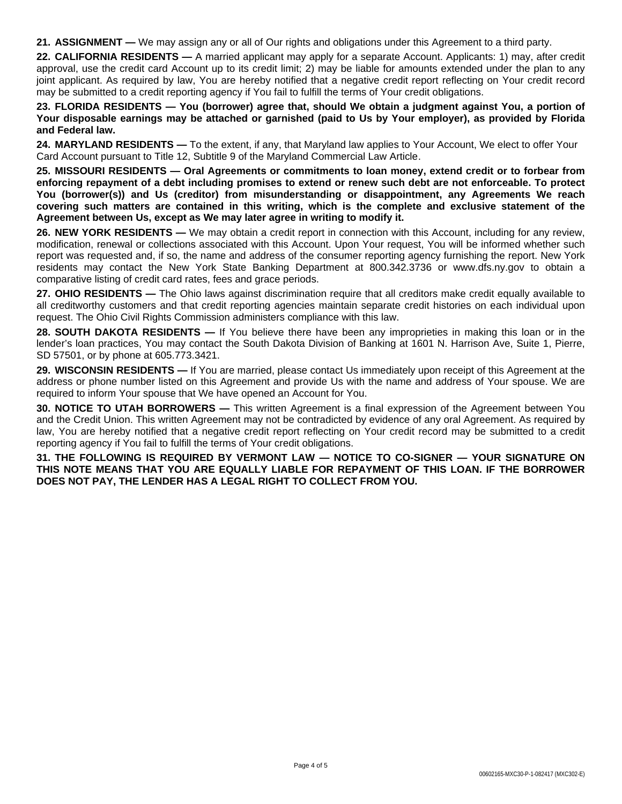**21. ASSIGNMENT —** We may assign any or all of Our rights and obligations under this Agreement to a third party.

**22. CALIFORNIA RESIDENTS —** A married applicant may apply for a separate Account. Applicants: 1) may, after credit approval, use the credit card Account up to its credit limit; 2) may be liable for amounts extended under the plan to any joint applicant. As required by law, You are hereby notified that a negative credit report reflecting on Your credit record may be submitted to a credit reporting agency if You fail to fulfill the terms of Your credit obligations.

23. FLORIDA RESIDENTS — You (borrower) agree that, should We obtain a judgment against You, a portion of Your disposable earnings may be attached or garnished (paid to Us by Your employer), as provided by Florida **and Federal law.**

**24. MARYLAND RESIDENTS —** To the extent, if any, that Maryland law applies to Your Account, We elect to offer Your Card Account pursuant to Title 12, Subtitle 9 of the Maryland Commercial Law Article.

**25. MISSOURI RESIDENTS — Oral Agreements or commitments to loan money, extend credit or to forbear from** enforcing repayment of a debt including promises to extend or renew such debt are not enforceable. To protect **You (borrower(s)) and Us (creditor) from misunderstanding or disappointment, any Agreements We reach covering such matters are contained in this writing, which is the complete and exclusive statement of the Agreement between Us, except as We may later agree in writing to modify it.**

**26. NEW YORK RESIDENTS —** We may obtain a credit report in connection with this Account, including for any review, modification, renewal or collections associated with this Account. Upon Your request, You will be informed whether such report was requested and, if so, the name and address of the consumer reporting agency furnishing the report. New York residents may contact the New York State Banking Department at 800.342.3736 or www.dfs.ny.gov to obtain a comparative listing of credit card rates, fees and grace periods.

**27. OHIO RESIDENTS** — The Ohio laws against discrimination require that all creditors make credit equally available to all creditworthy customers and that credit reporting agencies maintain separate credit histories on each individual upon request. The Ohio Civil Rights Commission administers compliance with this law.

**28. SOUTH DAKOTA RESIDENTS —** If You believe there have been any improprieties in making this loan or in the lender's loan practices, You may contact the South Dakota Division of Banking at 1601 N. Harrison Ave, Suite 1, Pierre, SD 57501, or by phone at 605.773.3421.

**29. WISCONSIN RESIDENTS —** If You are married, please contact Us immediately upon receipt of this Agreement at the address or phone number listed on this Agreement and provide Us with the name and address of Your spouse. We are required to inform Your spouse that We have opened an Account for You.

**30. NOTICE TO UTAH BORROWERS —** This written Agreement is a final expression of the Agreement between You and the Credit Union. This written Agreement may not be contradicted by evidence of any oral Agreement. As required by law, You are hereby notified that a negative credit report reflecting on Your credit record may be submitted to a credit reporting agency if You fail to fulfill the terms of Your credit obligations.

**31. THE FOLLOWING IS REQUIRED BY VERMONT LAW — NOTICE TO CO-SIGNER — YOUR SIGNATURE ON THIS NOTE MEANS THAT YOU ARE EQUALLY LIABLE FOR REPAYMENT OF THIS LOAN. IF THE BORROWER DOES NOT PAY, THE LENDER HAS A LEGAL RIGHT TO COLLECT FROM YOU.**